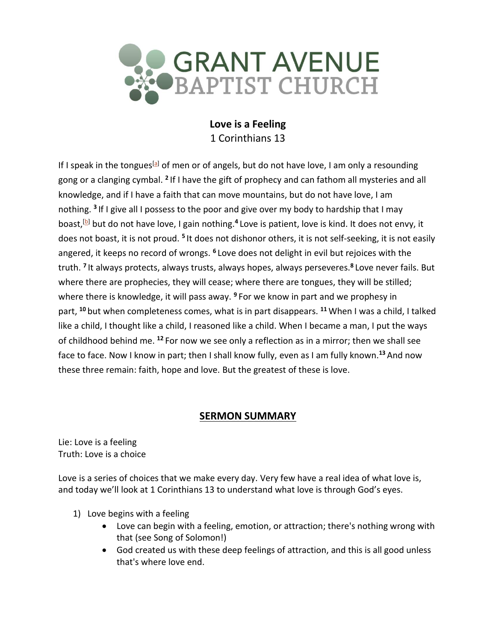

**Love is a Feeling** 1 Corinthians 13

If I speak in the tongues<sup>[\[a\]](https://www.biblegateway.com/passage/?search=1+Corinthians+13&version=NIV#fen-NIV-28667a)</sup> of men or of angels, but do not have love, I am only a resounding gong or a clanging cymbal. **<sup>2</sup>** If I have the gift of prophecy and can fathom all mysteries and all knowledge, and if I have a faith that can move mountains, but do not have love, I am nothing. **<sup>3</sup>** If I give all I possess to the poor and give over my body to hardship that I may boast,<sup>[<u>b</u>]</sup> but do not have love, I gain nothing.<sup>4</sup> Love is patient, love is kind. It does not envy, it does not boast, it is not proud. <sup>5</sup> It does not dishonor others, it is not self-seeking, it is not easily angered, it keeps no record of wrongs. **<sup>6</sup>** Love does not delight in evil but rejoices with the truth. **<sup>7</sup>** It always protects, always trusts, always hopes, always perseveres.**<sup>8</sup>** Love never fails. But where there are prophecies, they will cease; where there are tongues, they will be stilled; where there is knowledge, it will pass away. **<sup>9</sup>** For we know in part and we prophesy in part, **<sup>10</sup>** but when completeness comes, what is in part disappears. **<sup>11</sup>** When I was a child, I talked like a child, I thought like a child, I reasoned like a child. When I became a man, I put the ways of childhood behind me. **<sup>12</sup>** For now we see only a reflection as in a mirror; then we shall see face to face. Now I know in part; then I shall know fully, even as I am fully known.**<sup>13</sup>** And now these three remain: faith, hope and love. But the greatest of these is love.

# **SERMON SUMMARY**

Lie: Love is a feeling Truth: Love is a choice

Love is a series of choices that we make every day. Very few have a real idea of what love is, and today we'll look at 1 Corinthians 13 to understand what love is through God's eyes.

- 1) Love begins with a feeling
	- Love can begin with a feeling, emotion, or attraction; there's nothing wrong with that (see Song of Solomon!)
	- God created us with these deep feelings of attraction, and this is all good unless that's where love end.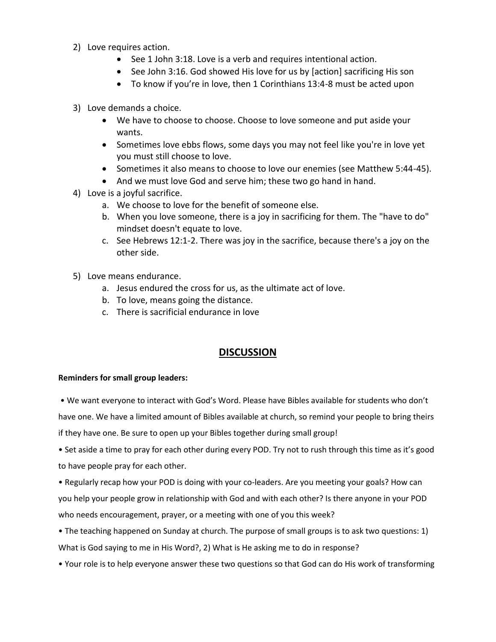- 2) Love requires action.
	- See 1 John 3:18. Love is a verb and requires intentional action.
	- See John 3:16. God showed His love for us by [action] sacrificing His son
	- To know if you're in love, then 1 Corinthians 13:4-8 must be acted upon
- 3) Love demands a choice.
	- We have to choose to choose. Choose to love someone and put aside your wants.
	- Sometimes love ebbs flows, some days you may not feel like you're in love yet you must still choose to love.
	- Sometimes it also means to choose to love our enemies (see Matthew 5:44-45).
	- And we must love God and serve him; these two go hand in hand.
- 4) Love is a joyful sacrifice.
	- a. We choose to love for the benefit of someone else.
	- b. When you love someone, there is a joy in sacrificing for them. The "have to do" mindset doesn't equate to love.
	- c. See Hebrews 12:1-2. There was joy in the sacrifice, because there's a joy on the other side.
- 5) Love means endurance.
	- a. Jesus endured the cross for us, as the ultimate act of love.
	- b. To love, means going the distance.
	- c. There is sacrificial endurance in love

# **DISCUSSION**

### **Reminders for small group leaders:**

• We want everyone to interact with God's Word. Please have Bibles available for students who don't have one. We have a limited amount of Bibles available at church, so remind your people to bring theirs if they have one. Be sure to open up your Bibles together during small group!

• Set aside a time to pray for each other during every POD. Try not to rush through this time as it's good to have people pray for each other.

• Regularly recap how your POD is doing with your co-leaders. Are you meeting your goals? How can you help your people grow in relationship with God and with each other? Is there anyone in your POD who needs encouragement, prayer, or a meeting with one of you this week?

• The teaching happened on Sunday at church. The purpose of small groups is to ask two questions: 1) What is God saying to me in His Word?, 2) What is He asking me to do in response?

• Your role is to help everyone answer these two questions so that God can do His work of transforming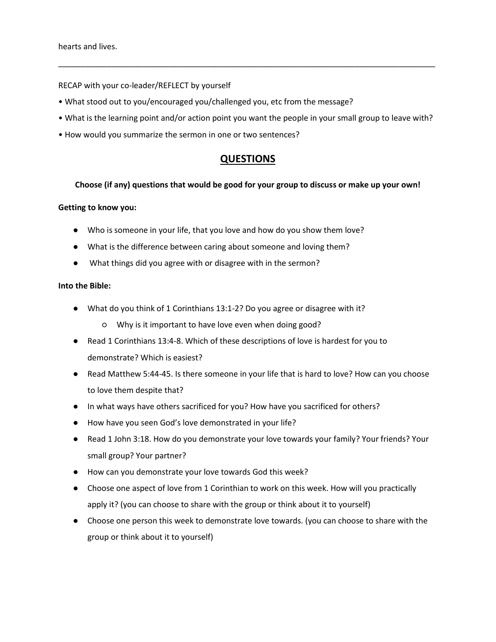RECAP with your co-leader/REFLECT by yourself

- What stood out to you/encouraged you/challenged you, etc from the message?
- What is the learning point and/or action point you want the people in your small group to leave with?

\_\_\_\_\_\_\_\_\_\_\_\_\_\_\_\_\_\_\_\_\_\_\_\_\_\_\_\_\_\_\_\_\_\_\_\_\_\_\_\_\_\_\_\_\_\_\_\_\_\_\_\_\_\_\_\_\_\_\_\_\_\_\_\_\_\_\_\_\_\_\_\_\_\_\_\_\_\_\_\_\_\_\_\_\_

• How would you summarize the sermon in one or two sentences?

## **QUESTIONS**

#### **Choose (if any) questions that would be good for your group to discuss or make up your own!**

#### **Getting to know you:**

- Who is someone in your life, that you love and how do you show them love?
- What is the difference between caring about someone and loving them?
- What things did you agree with or disagree with in the sermon?

### **Into the Bible:**

- What do you think of 1 Corinthians 13:1-2? Do you agree or disagree with it?
	- Why is it important to have love even when doing good?
- Read 1 Corinthians 13:4-8. Which of these descriptions of love is hardest for you to demonstrate? Which is easiest?
- Read Matthew 5:44-45. Is there someone in your life that is hard to love? How can you choose to love them despite that?
- In what ways have others sacrificed for you? How have you sacrificed for others?
- How have you seen God's love demonstrated in your life?
- Read 1 John 3:18. How do you demonstrate your love towards your family? Your friends? Your small group? Your partner?
- How can you demonstrate your love towards God this week?
- Choose one aspect of love from 1 Corinthian to work on this week. How will you practically apply it? (you can choose to share with the group or think about it to yourself)
- Choose one person this week to demonstrate love towards. (you can choose to share with the group or think about it to yourself)